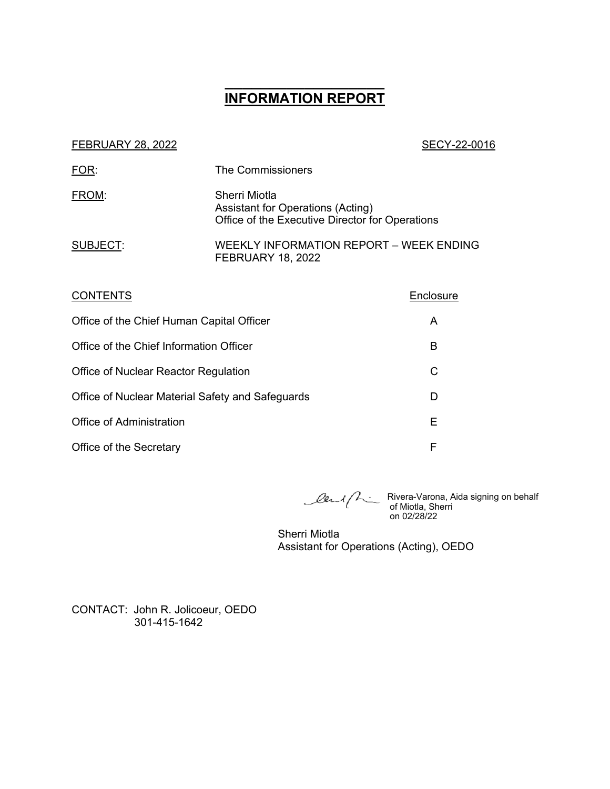# **\_\_\_\_\_\_\_\_\_\_\_\_\_\_\_\_\_\_ INFORMATION REPORT**

#### FEBRUARY 28, 2022 2001 12:30 12:30 12:30 12:30 12:30 12:30 12:30 12:30 12:30 12:30 12:30 12:30 12:30 12:30 12:30 12:30 12:30 12:30 12:30 12:30 12:30 12:30 12:30 12:30 12:30 12:30 12:30 12:30 12:30 12:30 12:30 12:30 12:30 1

| FOR:     | <b>The Commissioners</b>                                                                              |  |
|----------|-------------------------------------------------------------------------------------------------------|--|
| FROM:    | Sherri Miotla<br>Assistant for Operations (Acting)<br>Office of the Executive Director for Operations |  |
| SUBJECT: | WEEKLY INFORMATION REPORT - WEEK ENDING<br><b>FEBRUARY 18, 2022</b>                                   |  |

| <b>CONTENTS</b>                                  | Enclosure |
|--------------------------------------------------|-----------|
| Office of the Chief Human Capital Officer        | A         |
| Office of the Chief Information Officer          | В         |
| Office of Nuclear Reactor Regulation             | C         |
| Office of Nuclear Material Safety and Safeguards | D         |
| Office of Administration                         | Е         |
| Office of the Secretary                          | F         |

Rivera-Varona, Aida signing on behalf of Miotla, Sherri on 02/28/22

Sherri Miotla Assistant for Operations (Acting), OEDO

CONTACT: John R. Jolicoeur, OEDO 301-415-1642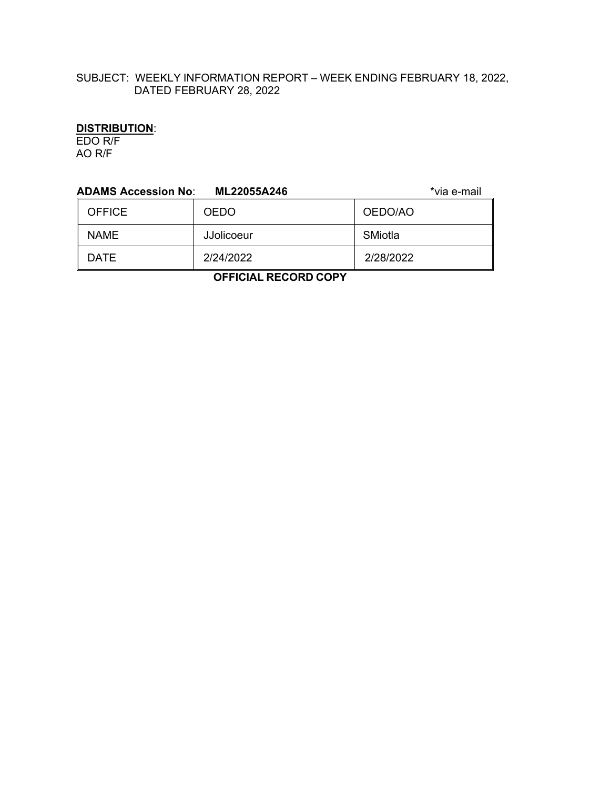# SUBJECT: WEEKLY INFORMATION REPORT – WEEK ENDING FEBRUARY 18, 2022, DATED FEBRUARY 28, 2022

# **DISTRIBUTION**:

EDO R/F AO R/F

| <b>ADAMS Accession No:</b><br>*via e-mail<br>ML22055A246 |                   |           |  |  |
|----------------------------------------------------------|-------------------|-----------|--|--|
| <b>OFFICE</b>                                            | <b>OEDO</b>       | OEDO/AO   |  |  |
| <b>NAME</b>                                              | <b>JJolicoeur</b> | SMiotla   |  |  |
| <b>DATE</b>                                              | 2/24/2022         | 2/28/2022 |  |  |
|                                                          |                   |           |  |  |

 **OFFICIAL RECORD COPY**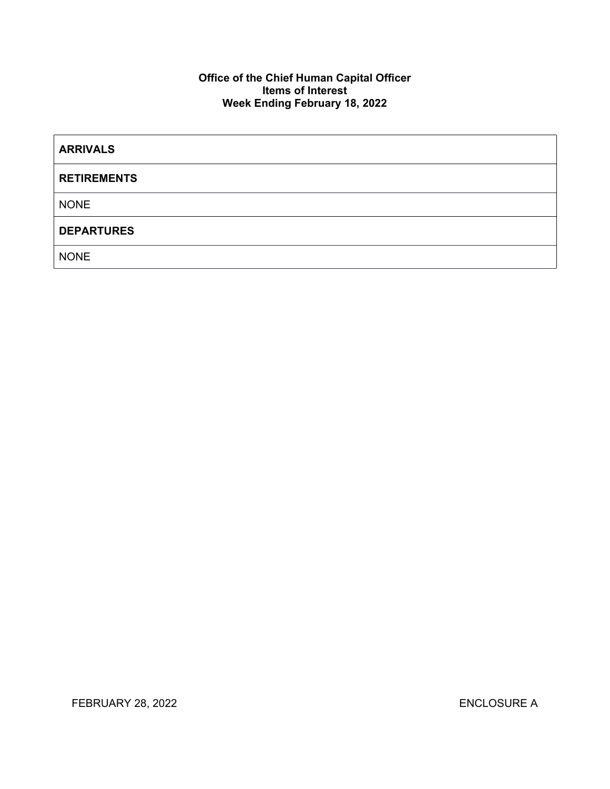# **Office of the Chief Human Capital Officer Items of Interest Week Ending February 18, 2022**

| <b>ARRIVALS</b>    |  |
|--------------------|--|
| <b>RETIREMENTS</b> |  |
| <b>NONE</b>        |  |
| <b>DEPARTURES</b>  |  |
| <b>NONE</b>        |  |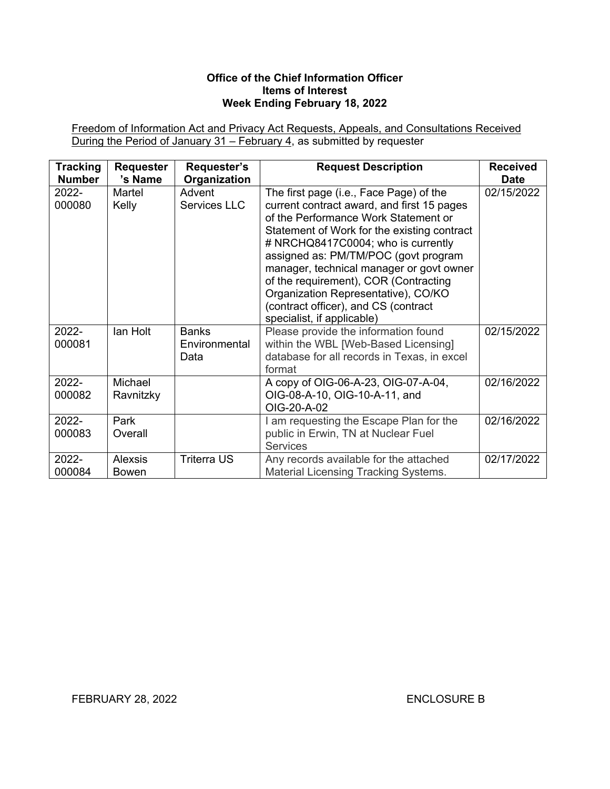# **Office of the Chief Information Officer Items of Interest Week Ending February 18, 2022**

Freedom of Information Act and Privacy Act Requests, Appeals, and Consultations Received During the Period of January 31 – February 4, as submitted by requester

| <b>Tracking</b> | <b>Requester</b>               | Requester's                           | <b>Request Description</b>                                                                                                                                                                                                                                                                                                                                                                                                                                    | <b>Received</b> |
|-----------------|--------------------------------|---------------------------------------|---------------------------------------------------------------------------------------------------------------------------------------------------------------------------------------------------------------------------------------------------------------------------------------------------------------------------------------------------------------------------------------------------------------------------------------------------------------|-----------------|
| <b>Number</b>   | 's Name                        | Organization                          |                                                                                                                                                                                                                                                                                                                                                                                                                                                               | <b>Date</b>     |
| 2022-<br>000080 | Martel<br>Kelly                | Advent<br>Services LLC                | The first page (i.e., Face Page) of the<br>current contract award, and first 15 pages<br>of the Performance Work Statement or<br>Statement of Work for the existing contract<br># NRCHQ8417C0004; who is currently<br>assigned as: PM/TM/POC (govt program<br>manager, technical manager or govt owner<br>of the requirement), COR (Contracting<br>Organization Representative), CO/KO<br>(contract officer), and CS (contract)<br>specialist, if applicable) | 02/15/2022      |
| 2022-<br>000081 | lan Holt                       | <b>Banks</b><br>Environmental<br>Data | Please provide the information found<br>within the WBL [Web-Based Licensing]<br>database for all records in Texas, in excel<br>format                                                                                                                                                                                                                                                                                                                         | 02/15/2022      |
| 2022-<br>000082 | Michael<br>Ravnitzky           |                                       | A copy of OIG-06-A-23, OIG-07-A-04,<br>OIG-08-A-10, OIG-10-A-11, and<br>OIG-20-A-02                                                                                                                                                                                                                                                                                                                                                                           | 02/16/2022      |
| 2022-<br>000083 | Park<br>Overall                |                                       | I am requesting the Escape Plan for the<br>public in Erwin, TN at Nuclear Fuel<br><b>Services</b>                                                                                                                                                                                                                                                                                                                                                             | 02/16/2022      |
| 2022-<br>000084 | <b>Alexsis</b><br><b>Bowen</b> | <b>Triterra US</b>                    | Any records available for the attached<br><b>Material Licensing Tracking Systems.</b>                                                                                                                                                                                                                                                                                                                                                                         | 02/17/2022      |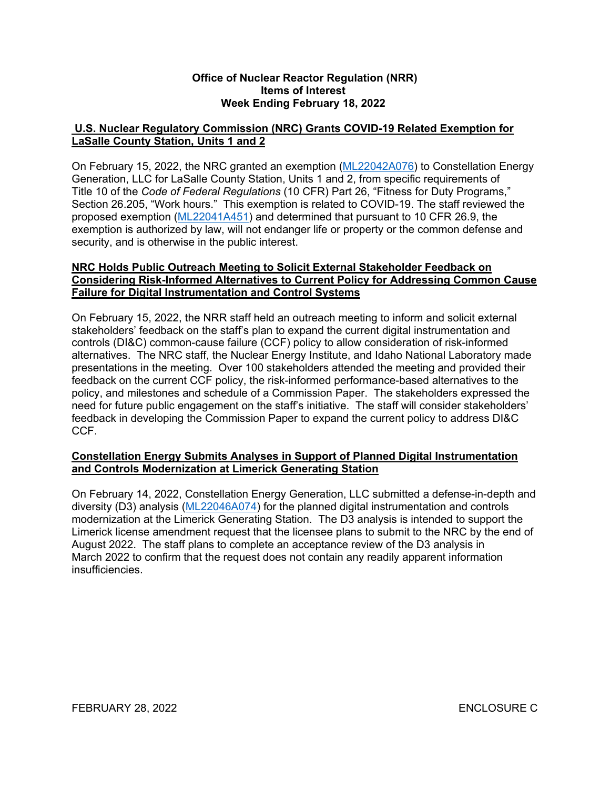# **Office of Nuclear Reactor Regulation (NRR) Items of Interest Week Ending February 18, 2022**

# **U.S. Nuclear Regulatory Commission (NRC) Grants COVID-19 Related Exemption for LaSalle County Station, Units 1 and 2**

On February 15, 2022, the NRC granted an exemption [\(ML22042A076\)](https://adamsxt.nrc.gov/navigator/AdamsXT/content/downloadContent.faces?objectStoreName=MainLibrary&vsId=%7b9C369CA1-9B60-C4D2-96C3-7EE93B200001%7d&ForceBrowserDownloadMgrPrompt=false) to Constellation Energy Generation, LLC for LaSalle County Station, Units 1 and 2, from specific requirements of Title 10 of the *Code of Federal Regulations* (10 CFR) Part 26, "Fitness for Duty Programs," Section 26.205, "Work hours." This exemption is related to COVID-19. The staff reviewed the proposed exemption [\(ML22041A451\)](https://adamsxt.nrc.gov/navigator/AdamsXT/content/downloadContent.faces?objectStoreName=MainLibrary&vsId=%7bC35DBAC8-EA7B-C8E6-87B8-7EE4AA300000%7d&ForceBrowserDownloadMgrPrompt=false) and determined that pursuant to 10 CFR 26.9, the exemption is authorized by law, will not endanger life or property or the common defense and security, and is otherwise in the public interest.

#### **NRC Holds Public Outreach Meeting to Solicit External Stakeholder Feedback on Considering Risk-Informed Alternatives to Current Policy for Addressing Common Cause Failure for Digital Instrumentation and Control Systems**

On February 15, 2022, the NRR staff held an outreach meeting to inform and solicit external stakeholders' feedback on the staff's plan to expand the current digital instrumentation and controls (DI&C) common-cause failure (CCF) policy to allow consideration of risk-informed alternatives. The NRC staff, the Nuclear Energy Institute, and Idaho National Laboratory made presentations in the meeting. Over 100 stakeholders attended the meeting and provided their feedback on the current CCF policy, the risk-informed performance-based alternatives to the policy, and milestones and schedule of a Commission Paper. The stakeholders expressed the need for future public engagement on the staff's initiative. The staff will consider stakeholders' feedback in developing the Commission Paper to expand the current policy to address DI&C CCF.

# **Constellation Energy Submits Analyses in Support of Planned Digital Instrumentation and Controls Modernization at Limerick Generating Station**

On February 14, 2022, Constellation Energy Generation, LLC submitted a defense-in-depth and diversity (D3) analysis [\(ML22046A074\)](https://adamsxt.nrc.gov/navigator/AdamsXT/content/downloadContent.faces?objectStoreName=MainLibrary&vsId=%7bF05514DD-2446-C1D5-86A9-7EFDE8A00000%7d&ForceBrowserDownloadMgrPrompt=false) for the planned digital instrumentation and controls modernization at the Limerick Generating Station. The D3 analysis is intended to support the Limerick license amendment request that the licensee plans to submit to the NRC by the end of August 2022. The staff plans to complete an acceptance review of the D3 analysis in March 2022 to confirm that the request does not contain any readily apparent information insufficiencies.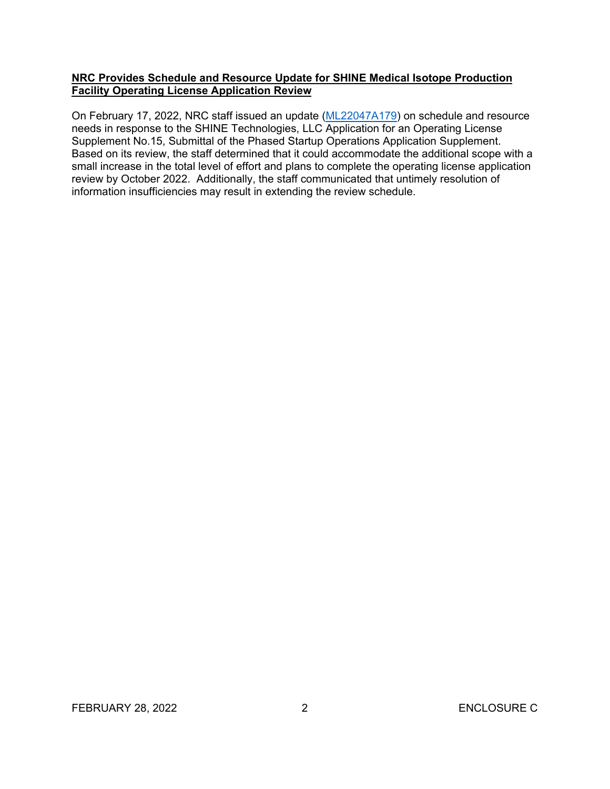# **NRC Provides Schedule and Resource Update for SHINE Medical Isotope Production Facility Operating License Application Review**

On February 17, 2022, NRC staff issued an update ([ML22047A179\)](https://adamsxt.nrc.gov/navigator/AdamsXT/content/downloadContent.faces?objectStoreName=MainLibrary&vsId=%7b70574DFC-0A00-C4DF-86B7-7F03D7200000%7d&ForceBrowserDownloadMgrPrompt=false) on schedule and resource needs in response to the SHINE Technologies, LLC Application for an Operating License Supplement No.15, Submittal of the Phased Startup Operations Application Supplement. Based on its review, the staff determined that it could accommodate the additional scope with a small increase in the total level of effort and plans to complete the operating license application review by October 2022. Additionally, the staff communicated that untimely resolution of information insufficiencies may result in extending the review schedule.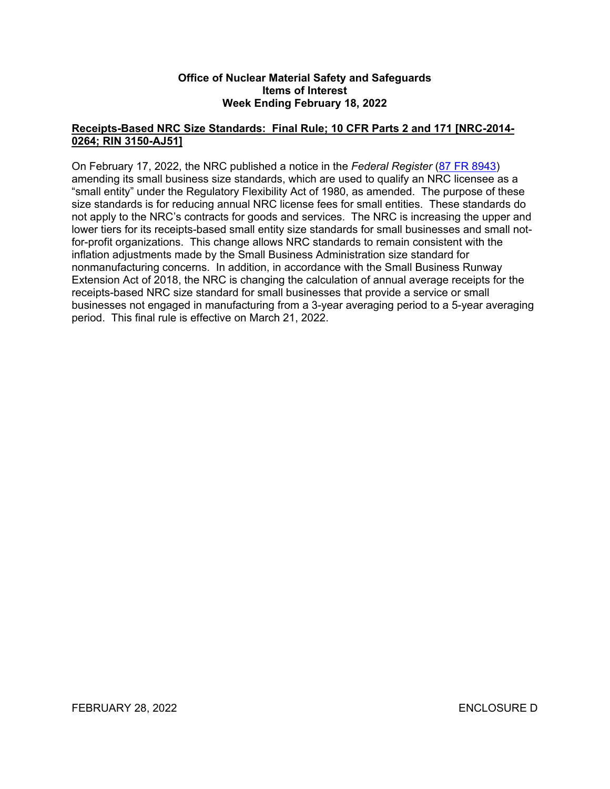# **Office of Nuclear Material Safety and Safeguards Items of Interest Week Ending February 18, 2022**

# **Receipts-Based NRC Size Standards: Final Rule; 10 CFR Parts 2 and 171 [NRC-2014- 0264; RIN 3150-AJ51]**

On February 17, 2022, the NRC published a notice in the *Federal Register* ([87 FR 8943](https://www.federalregister.gov/d/2022-03146)) amending its small business size standards, which are used to qualify an NRC licensee as a "small entity" under the Regulatory Flexibility Act of 1980, as amended. The purpose of these size standards is for reducing annual NRC license fees for small entities. These standards do not apply to the NRC's contracts for goods and services. The NRC is increasing the upper and lower tiers for its receipts-based small entity size standards for small businesses and small notfor-profit organizations. This change allows NRC standards to remain consistent with the inflation adjustments made by the Small Business Administration size standard for nonmanufacturing concerns. In addition, in accordance with the Small Business Runway Extension Act of 2018, the NRC is changing the calculation of annual average receipts for the receipts-based NRC size standard for small businesses that provide a service or small businesses not engaged in manufacturing from a 3-year averaging period to a 5-year averaging period. This final rule is effective on March 21, 2022.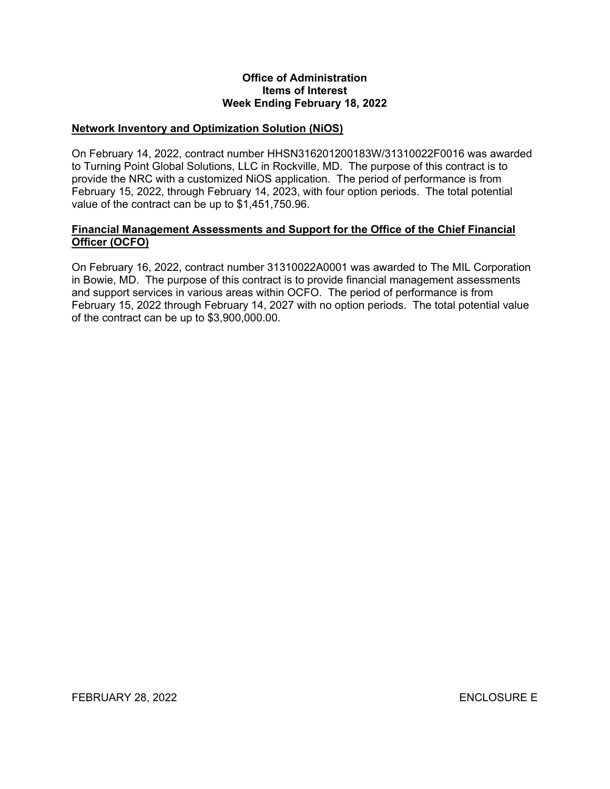#### **Office of Administration Items of Interest Week Ending February 18, 2022**

# **Network Inventory and Optimization Solution (NiOS)**

On February 14, 2022, contract number HHSN316201200183W/31310022F0016 was awarded to Turning Point Global Solutions, LLC in Rockville, MD. The purpose of this contract is to provide the NRC with a customized NiOS application. The period of performance is from February 15, 2022, through February 14, 2023, with four option periods. The total potential value of the contract can be up to \$1,451,750.96.

# **Financial Management Assessments and Support for the Office of the Chief Financial Officer (OCFO)**

On February 16, 2022, contract number 31310022A0001 was awarded to The MIL Corporation in Bowie, MD. The purpose of this contract is to provide financial management assessments and support services in various areas within OCFO. The period of performance is from February 15, 2022 through February 14, 2027 with no option periods. The total potential value of the contract can be up to \$3,900,000.00.